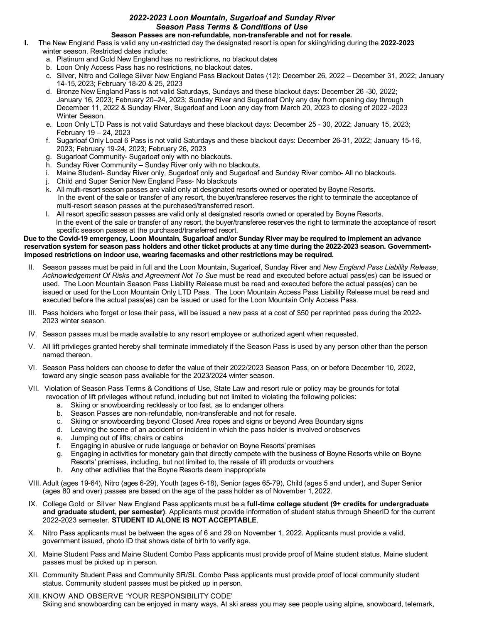## *2022-2023 Loon Mountain, Sugarloaf and Sunday River Season Pass Terms & Conditions of Use* **Season Passes are non-refundable, non-transferable and not for resale.**

- **I.** The New England Pass is valid any un-restricted day the designated resort is open for skiing/riding during the **2022-2023** winter season. Restricted dates include:
	- a. Platinum and Gold New England has no restrictions, no blackout dates
	- b. Loon Only Access Pass has no restrictions, no blackout dates.
	- c. Silver, Nitro and College Silver New England Pass Blackout Dates (12): December 26, 2022 December 31, 2022; January 14-15, 2023; February 18-20 & 25, 2023
	- d. Bronze New England Pass is not valid Saturdays, Sundays and these blackout days: December 26 -30, 2022; January 16, 2023; February 20–24, 2023; Sunday River and Sugarloaf Only any day from opening day through December 11, 2022 & Sunday River, Sugarloaf and Loon any day from March 20, 2023 to closing of 2022 -2023 Winter Season.
	- e. Loon Only LTD Pass is not valid Saturdays and these blackout days: December 25 30, 2022; January 15, 2023; February 19 – 24, 2023
	- f. Sugarloaf Only Local 6 Pass is not valid Saturdays and these blackout days: December 26-31, 2022; January 15-16, 2023; February 19-24, 2023; February 26, 2023
	- g. Sugarloaf Community- Sugarloaf only with no blackouts.
	- h. Sunday River Community Sunday River only with no blackouts.
	- i. Maine Student- Sunday River only, Sugarloaf only and Sugarloaf and Sunday River combo- All no blackouts.
	- j. Child and Super Senior New England Pass- No blackouts
	- k. All multi-resort season passes are valid only at designated resorts owned or operated by Boyne Resorts. In the event of the sale or transfer of any resort, the buyer/transferee reserves the right to terminate the acceptance of multi-resort season passes at the purchased/transferred resort.
	- l. All resort specific season passes are valid only at designated resorts owned or operated by Boyne Resorts. In the event of the sale or transfer of any resort, the buyer/transferee reserves the right to terminate the acceptance of resort specific season passes at the purchased/transferred resort.

## **Due to the Covid-19 emergency, Loon Mountain, Sugarloaf and/or Sunday River may be required to implement an advance reservation system for season pass holders and other ticket products at any time during the 2022-2023 season. Governmentimposed restrictions on indoor use, wearing facemasks and other restrictions may be required.**

- II. Season passes must be paid in full and the Loon Mountain, Sugarloaf, Sunday River and *New England Pass Liability Release, Acknowledgement Of Risks and Agreement Not To Sue* must be read and executed before actual pass(es) can be issued or used. The Loon Mountain Season Pass Liability Release must be read and executed before the actual pass(es) can be issued or used for the Loon Mountain Only LTD Pass. The Loon Mountain Access Pass Liability Release must be read and executed before the actual pass(es) can be issued or used for the Loon Mountain Only Access Pass.
- III. Pass holders who forget or lose their pass, will be issued a new pass at a cost of \$50 per reprinted pass during the 2022- 2023 winter season.
- IV. Season passes must be made available to any resort employee or authorized agent when requested.
- V. All lift privileges granted hereby shall terminate immediately if the Season Pass is used by any person other than the person named thereon.
- VI. Season Pass holders can choose to defer the value of their 2022/2023 Season Pass, on or before December 10, 2022, toward any single season pass available for the 2023/2024 winter season.
- VII. Violation of Season Pass Terms & Conditions of Use, State Law and resort rule or policy may be grounds for total revocation of lift privileges without refund, including but not limited to violating the following policies:
	- a. Skiing or snowboarding recklessly or too fast, as to endanger others
	- b. Season Passes are non-refundable, non-transferable and not for resale.
	- c. Skiing or snowboarding beyond Closed Area ropes and signs or beyond Area Boundary signs
	- d. Leaving the scene of an accident or incident in which the pass holder is involved orobserves
	- e. Jumping out of lifts; chairs or cabins
	- f. Engaging in abusive or rude language or behavior on Boyne Resorts'premises
	- g. Engaging in activities for monetary gain that directly compete with the business of Boyne Resorts while on Boyne Resorts' premises, including, but not limited to, the resale of lift products or vouchers
	- h. Any other activities that the Boyne Resorts deem inappropriate
- VIII. Adult (ages 19-64), Nitro (ages 6-29), Youth (ages 6-18), Senior (ages 65-79), Child (ages 5 and under), and Super Senior (ages 80 and over) passes are based on the age of the pass holder as of November 1,2022.
- IX. College Gold or Silver New England Pass applicants must be a **full-time college student (9+ credits for undergraduate and graduate student, per semester)**. Applicants must provide information of student status through SheerID for the current 2022-2023 semester. **STUDENT ID ALONE IS NOT ACCEPTABLE**.
- X. Nitro Pass applicants must be between the ages of 6 and 29 on November 1, 2022. Applicants must provide a valid, government issued, photo ID that shows date of birth to verify age.
- XI. Maine Student Pass and Maine Student Combo Pass applicants must provide proof of Maine student status. Maine student passes must be picked up in person.
- XII. Community Student Pass and Community SR/SL Combo Pass applicants must provide proof of local community student status. Community student passes must be picked up in person.
- XIII. KNOW AND OBSERVE 'YOUR RESPONSIBILITY CODE' Skiing and snowboarding can be enjoyed in many ways. At ski areas you may see people using alpine, snowboard, telemark,